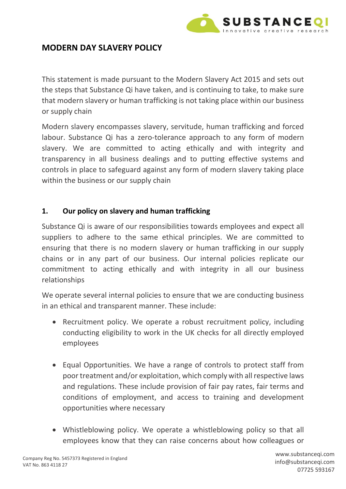

## **MODERN DAY SLAVERY POLICY**

This statement is made pursuant to the Modern Slavery Act 2015 and sets out the steps that Substance Qi have taken, and is continuing to take, to make sure that modern slavery or human trafficking is not taking place within our business or supply chain

Modern slavery encompasses slavery, servitude, human trafficking and forced labour. Substance Qi has a zero-tolerance approach to any form of modern slavery. We are committed to acting ethically and with integrity and transparency in all business dealings and to putting effective systems and controls in place to safeguard against any form of modern slavery taking place within the business or our supply chain

### **1. Our policy on slavery and human trafficking**

Substance Qi is aware of our responsibilities towards employees and expect all suppliers to adhere to the same ethical principles. We are committed to ensuring that there is no modern slavery or human trafficking in our supply chains or in any part of our business. Our internal policies replicate our commitment to acting ethically and with integrity in all our business relationships

We operate several internal policies to ensure that we are conducting business in an ethical and transparent manner. These include:

- Recruitment policy. We operate a robust recruitment policy, including conducting eligibility to work in the UK checks for all directly employed employees
- Equal Opportunities. We have a range of controls to protect staff from poor treatment and/or exploitation, which comply with all respective laws and regulations. These include provision of fair pay rates, fair terms and conditions of employment, and access to training and development opportunities where necessary
- Whistleblowing policy. We operate a whistleblowing policy so that all employees know that they can raise concerns about how colleagues or